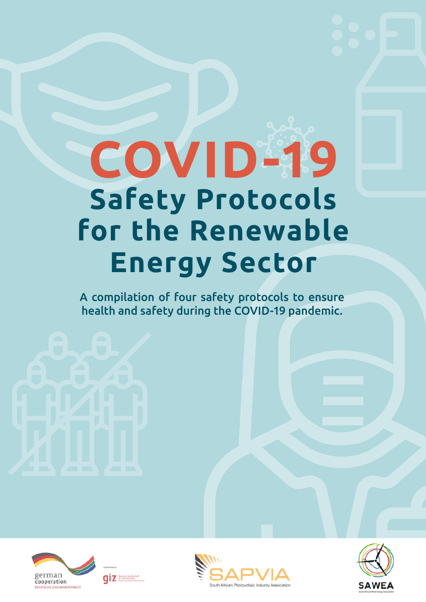# **COVID-19 Safety Protocols for the Renewable Energy Sector**

A compilation of four safety protocols to ensure health and safety during the COVID-19 pandemic.







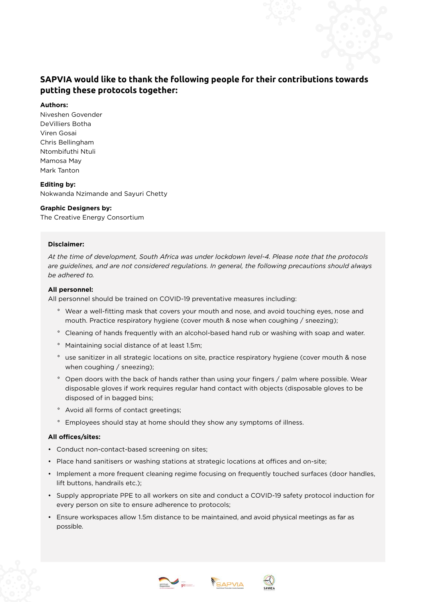#### **SAPVIA would like to thank the following people for their contributions towards putting these protocols together:**

#### **Authors:**

Niveshen Govender DeVilliers Botha Viren Gosai Chris Bellingham Ntombifuthi Ntuli Mamosa May Mark Tanton

#### **Editing by:**

Nokwanda Nzimande and Sayuri Chetty

#### **Graphic Designers by:**

The Creative Energy Consortium

#### **Disclaimer:**

*At the time of development, South Africa was under lockdown level-4. Please note that the protocols are guidelines, and are not considered regulations. In general, the following precautions should always be adhered to.*

#### **All personnel:**

All personnel should be trained on COVID-19 preventative measures including:

- ° Wear a well-fitting mask that covers your mouth and nose, and avoid touching eyes, nose and mouth. Practice respiratory hygiene (cover mouth & nose when coughing / sneezing);
- ° Cleaning of hands frequently with an alcohol-based hand rub or washing with soap and water.
- ° Maintaining social distance of at least 1.5m;
- ° use sanitizer in all strategic locations on site, practice respiratory hygiene (cover mouth & nose when coughing / sneezing);
- ° Open doors with the back of hands rather than using your fingers / palm where possible. Wear disposable gloves if work requires regular hand contact with objects (disposable gloves to be disposed of in bagged bins;
- ° Avoid all forms of contact greetings;
- ° Employees should stay at home should they show any symptoms of illness.

#### **All offices/sites:**

- Conduct non-contact-based screening on sites;
- Place hand sanitisers or washing stations at strategic locations at offices and on-site;
- Implement a more frequent cleaning regime focusing on frequently touched surfaces (door handles, lift buttons, handrails etc.);
- Supply appropriate PPE to all workers on site and conduct a COVID-19 safety protocol induction for every person on site to ensure adherence to protocols;
- Ensure workspaces allow 1.5m distance to be maintained, and avoid physical meetings as far as possible.





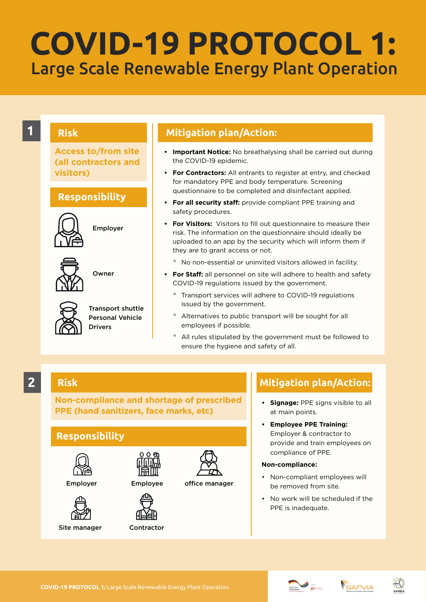## Large Scale Renewable Energy Plant Operation **COVID-19 PROTOCOL 1:**

**Access to/from site (all contractors and visitors)**

#### **Responsibility**



Employer



Owner



Transport shuttle Personal Vehicle Drivers

#### **1 1 Mitigation plan/Action:**

- **• Important Notice:** No breathalysing shall be carried out during the COVID-19 epidemic.
- **• For Contractors:** All entrants to register at entry, and checked for mandatory PPE and body temperature. Screening questionnaire to be completed and disinfectant applied.
- **• For all security staff:** provide compliant PPE training and safety procedures.
- **• For Visitors:** Visitors to fill out questionnaire to measure their risk. The information on the questionnaire should ideally be uploaded to an app by the security which will inform them if they are to grant access or not.
	- ° No non-essential or uninvited visitors allowed in facility.
- **• For Staff:** all personnel on site will adhere to health and safety COVID-19 regulations issued by the government.
	- ° Transport services will adhere to COVID-19 regulations issued by the government.
	- ° Alternatives to public transport will be sought for all employees if possible.
	- ° All rules stipulated by the government must be followed to ensure the hygiene and safety of all.

#### **2**

#### **Risk**

**Non-compliance and shortage of prescribed PPE (hand sanitizers, face marks, etc)**

#### **Responsibility**



Site manager





 $000$ 

Contractor



#### **Mitigation plan/Action:**

- **• Signage:** PPE signs visible to all at main points.
- **• Employee PPE Training:** Employer & contractor to provide and train employees on compliance of PPE.

#### **Non-compliance:**

- Non-compliant employees will be removed from site.
- No work will be scheduled if the PPE is inadequate.





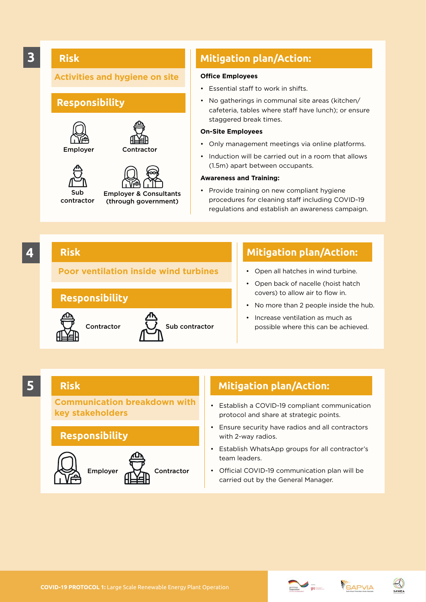#### **Risk**

#### **Activities and hygiene on site**

#### **Responsibility**





Sub contractor



(through government)

#### **3 Mitigation plan/Action:**

#### **Office Employees**

- Essential staff to work in shifts.
- No gatherings in communal site areas (kitchen/ cafeteria, tables where staff have lunch); or ensure staggered break times.

#### **On-Site Employees**

- Only management meetings via online platforms.
- Induction will be carried out in a room that allows (1.5m) apart between occupants.

#### **Awareness and Training:**

• Provide training on new compliant hygiene procedures for cleaning staff including COVID-19 regulations and establish an awareness campaign.

#### **4**

#### **Risk**

#### **Poor ventilation inside wind turbines**

#### **Responsibility**



#### **Mitigation plan/Action:**

- Open all hatches in wind turbine.
- Open back of nacelle (hoist hatch covers) to allow air to flow in.
- No more than 2 people inside the hub.
- Increase ventilation as much as possible where this can be achieved.

#### **5**

#### **Risk**

**Communication breakdown with key stakeholders**

#### **Responsibility**



- Establish a COVID-19 compliant communication protocol and share at strategic points.
- Ensure security have radios and all contractors with 2-way radios.
- Establish WhatsApp groups for all contractor's team leaders.
- Official COVID-19 communication plan will be carried out by the General Manager.







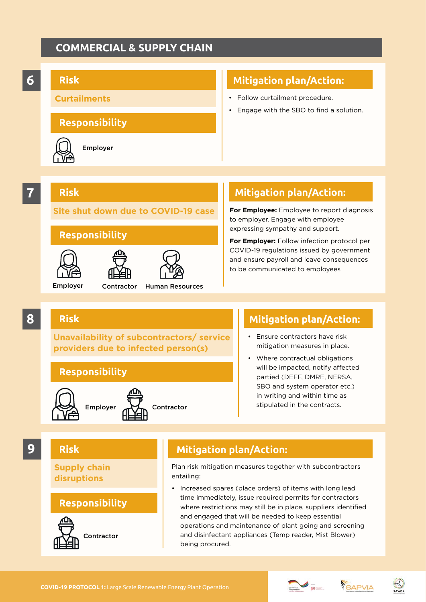#### **COMMERCIAL & SUPPLY CHAIN**



**For Employee:** Employee to report diagnosis to employer. Engage with employee expressing sympathy and support.

**For Employer:** Follow infection protocol per COVID-19 regulations issued by government and ensure payroll and leave consequences to be communicated to employees

**8**

#### **Risk**

**Unavailability of subcontractors/ service providers due to infected person(s)**

Employer Contractor Human Resources

**Site shut down due to COVID-19 case**

Contractor

**Responsibility**

**Responsibility**





#### **Mitigation plan/Action:**

- Ensure contractors have risk mitigation measures in place.
- Where contractual obligations will be impacted, notify affected partied (DEFF, DMRE, NERSA, SBO and system operator etc.) in writing and within time as stipulated in the contracts.

**Supply chain disruptions**

**Risk**

#### **Responsibility**



#### **9 Risk Mitigation plan/Action:**

Plan risk mitigation measures together with subcontractors entailing:

• Increased spares (place orders) of items with long lead time immediately, issue required permits for contractors where restrictions may still be in place, suppliers identified and engaged that will be needed to keep essential operations and maintenance of plant going and screening and disinfectant appliances (Temp reader, Mist Blower) being procured.





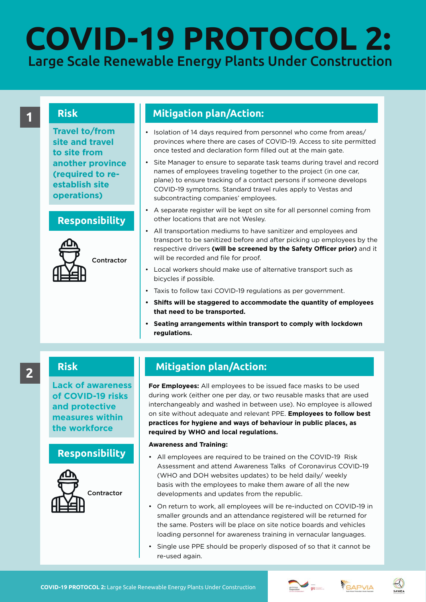## Large Scale Renewable Energy Plants Under Construction **COVID-19 PROTOCOL 2:**

#### **Risk**

**Travel to/from site and travel to site from another province (required to reestablish site operations)**

#### **Responsibility**



#### **1 Mitigation plan/Action:**

- Isolation of 14 days required from personnel who come from areas/ provinces where there are cases of COVID-19. Access to site permitted once tested and declaration form filled out at the main gate.
- Site Manager to ensure to separate task teams during travel and record names of employees traveling together to the project (in one car, plane) to ensure tracking of a contact persons if someone develops COVID-19 symptoms. Standard travel rules apply to Vestas and subcontracting companies' employees.
- A separate register will be kept on site for all personnel coming from other locations that are not Wesley.
- All transportation mediums to have sanitizer and employees and transport to be sanitized before and after picking up employees by the respective drivers **(will be screened by the Safety Officer prior)** and it will be recorded and file for proof.
- Local workers should make use of alternative transport such as bicycles if possible.
- Taxis to follow taxi COVID-19 regulations as per government.
- **• Shifts will be staggered to accommodate the quantity of employees that need to be transported.**
- **• Seating arrangements within transport to comply with lockdown regulations.**

#### **Risk**

**Lack of awareness of COVID-19 risks and protective measures within the workforce**

#### **Responsibility**



## **2 Risk Mitigation plan/Action:**

**For Employees:** All employees to be issued face masks to be used during work (either one per day, or two reusable masks that are used interchangeably and washed in between use). No employee is allowed on site without adequate and relevant PPE. **Employees to follow best practices for hygiene and ways of behaviour in public places, as required by WHO and local regulations.**

#### **Awareness and Training:**

- All employees are required to be trained on the COVID-19 Risk Assessment and attend Awareness Talks of Coronavirus COVID-19 (WHO and DOH websites updates) to be held daily/ weekly basis with the employees to make them aware of all the new developments and updates from the republic.
- On return to work, all employees will be re-inducted on COVID-19 in smaller grounds and an attendance registered will be returned for the same. Posters will be place on site notice boards and vehicles loading personnel for awareness training in vernacular languages.
- Single use PPE should be properly disposed of so that it cannot be re-used again.





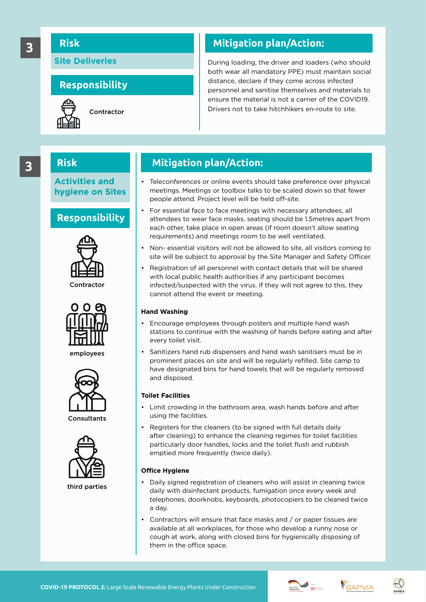#### **Risk**

**Site Deliveries**

#### **Responsibility**



## **3 Risk Mitigation plan/Action:**

During loading, the driver and loaders (who should both wear all mandatory PPE) must maintain social distance, declare if they come across infected personnel and sanitise themselves and materials to ensure the material is not a carrier of the COVID19. Drivers not to take hitchhikers en-route to site. Contractor

#### **Risk**

**Activities and hygiene on Sites**

#### **Responsibility**





employees





third parties

### **3** Risk Mitigation plan/Action:

- Teleconferences or online events should take preference over physical meetings. Meetings or toolbox talks to be scaled down so that fewer people attend. Project level will be held off-site.
- For essential face to face meetings with necessary attendees, all attendees to wear face masks, seating should be 1.5metres apart from each other, take place in open areas (if room doesn't allow seating requirements) and meetings room to be well ventilated.
- Non- essential visitors will not be allowed to site, all visitors coming to site will be subject to approval by the Site Manager and Safety Officer.
- Registration of all personnel with contact details that will be shared with local public health authorities if any participant becomes infected/suspected with the virus. If they will not agree to this, they cannot attend the event or meeting.

#### **Hand Washing**

- Encourage employees through posters and multiple hand wash stations to continue with the washing of hands before eating and after every toilet visit.
- Sanitizers hand rub dispensers and hand wash sanitisers must be in prominent places on site and will be regularly refilled. Site camp to have designated bins for hand towels that will be regularly removed and disposed.

#### **Toilet Facilities**

- Limit crowding in the bathroom area, wash hands before and after using the facilities.
- Registers for the cleaners (to be signed with full details daily after cleaning) to enhance the cleaning regimes for toilet facilities particularly door handles, locks and the toilet flush and rubbish emptied more frequently (twice daily).

#### **Office Hygiene**

- Daily signed registration of cleaners who will assist in cleaning twice daily with disinfectant products, fumigation once every week and telephones, doorknobs, keyboards, photocopiers to be cleaned twice a day.
- Contractors will ensure that face masks and / or paper tissues are available at all workplaces, for those who develop a runny nose or cough at work, along with closed bins for hygienically disposing of them in the office space.





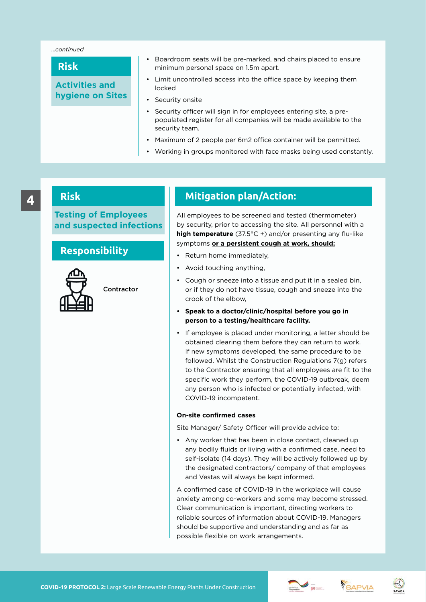#### *...continued*

#### **Risk**

**Activities and hygiene on Sites**

- Boardroom seats will be pre-marked, and chairs placed to ensure minimum personal space on 1.5m apart.
- Limit uncontrolled access into the office space by keeping them locked
- Security onsite
- Security officer will sign in for employees entering site, a prepopulated register for all companies will be made available to the security team.
- Maximum of 2 people per 6m2 office container will be permitted.
- Working in groups monitored with face masks being used constantly.

#### **Risk**

**Testing of Employees and suspected infections**

#### **Responsibility**



Contractor

**4 Mitigation plan/Action:**

All employees to be screened and tested (thermometer) by security, prior to accessing the site. All personnel with a **high temperature** (37.5°C +) and/or presenting any flu-like symptoms **or a persistent cough at work, should:**

- Return home immediately,
- Avoid touching anything,
- Cough or sneeze into a tissue and put it in a sealed bin, or if they do not have tissue, cough and sneeze into the crook of the elbow,
- **• Speak to a doctor/clinic/hospital before you go in person to a testing/healthcare facility.**
- If employee is placed under monitoring, a letter should be obtained clearing them before they can return to work. If new symptoms developed, the same procedure to be followed. Whilst the Construction Regulations 7(g) refers to the Contractor ensuring that all employees are fit to the specific work they perform, the COVID-19 outbreak, deem any person who is infected or potentially infected, with COVID-19 incompetent.

#### **On-site confirmed cases**

Site Manager/ Safety Officer will provide advice to:

• Any worker that has been in close contact, cleaned up any bodily fluids or living with a confirmed case, need to self-isolate (14 days). They will be actively followed up by the designated contractors/ company of that employees and Vestas will always be kept informed.

A confirmed case of COVID-19 in the workplace will cause anxiety among co-workers and some may become stressed. Clear communication is important, directing workers to reliable sources of information about COVID-19. Managers should be supportive and understanding and as far as possible flexible on work arrangements.





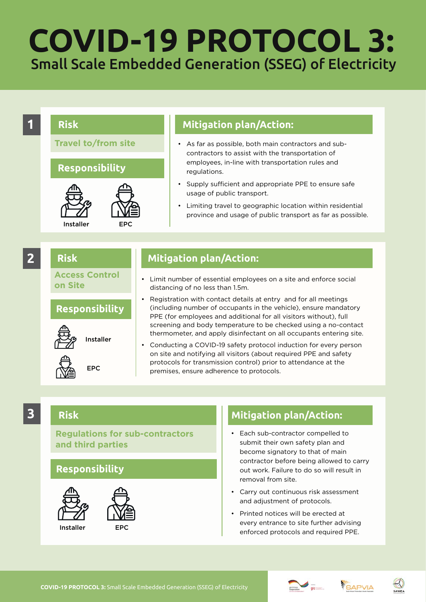## Small Scale Embedded Generation (SSEG) of Electricity **COVID-19 PROTOCOL 3:**



#### **Risk**

#### **Regulations for sub-contractors and third parties**

#### **Responsibility**



- Each sub-contractor compelled to submit their own safety plan and become signatory to that of main contractor before being allowed to carry out work. Failure to do so will result in removal from site.
- Carry out continuous risk assessment and adjustment of protocols.
- Printed notices will be erected at every entrance to site further advising enforced protocols and required PPE.





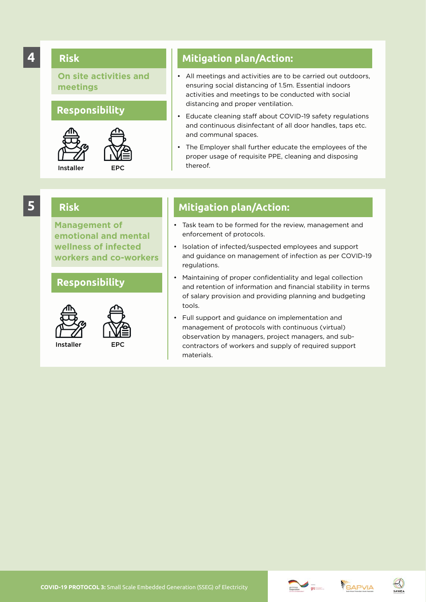#### **4**

#### **Risk**

**On site activities and meetings**

#### **Responsibility**



**Risk**



**Mitigation plan/Action:**

- All meetings and activities are to be carried out outdoors, ensuring social distancing of 1.5m. Essential indoors activities and meetings to be conducted with social distancing and proper ventilation.
- Educate cleaning staff about COVID-19 safety regulations and continuous disinfectant of all door handles, taps etc. and communal spaces.
- The Employer shall further educate the employees of the proper usage of requisite PPE, cleaning and disposing thereof.

### **5**

**Management of emotional and mental wellness of infected workers and co-workers**





- **Mitigation plan/Action:**
- Task team to be formed for the review, management and enforcement of protocols.
- Isolation of infected/suspected employees and support and guidance on management of infection as per COVID-19 regulations.
- Maintaining of proper confidentiality and legal collection and retention of information and financial stability in terms of salary provision and providing planning and budgeting tools.
- Full support and guidance on implementation and management of protocols with continuous (virtual) observation by managers, project managers, and subcontractors of workers and supply of required support materials.





#### **Responsibility**

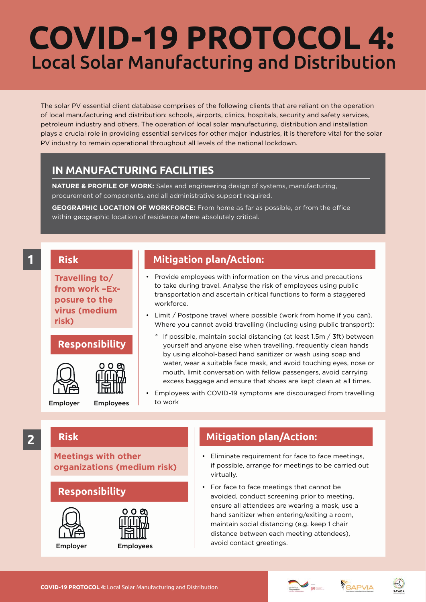## Local Solar Manufacturing and Distribution **COVID-19 PROTOCOL 4:**

The solar PV essential client database comprises of the following clients that are reliant on the operation of local manufacturing and distribution: schools, airports, clinics, hospitals, security and safety services, petroleum industry and others. The operation of local solar manufacturing, distribution and installation plays a crucial role in providing essential services for other major industries, it is therefore vital for the solar PV industry to remain operational throughout all levels of the national lockdown.

#### **IN MANUFACTURING FACILITIES**

**NATURE & PROFILE OF WORK:** Sales and engineering design of systems, manufacturing, procurement of components, and all administrative support required.

**GEOGRAPHIC LOCATION OF WORKFORCE:** From home as far as possible, or from the office within geographic location of residence where absolutely critical.

#### **1**

**Travelling to/ from work –Exposure to the virus (medium** 

#### **Responsibility**



**Risk**

**risk)**

**Risk**



Employees

**Mitigation plan/Action:**

- Provide employees with information on the virus and precautions to take during travel. Analyse the risk of employees using public transportation and ascertain critical functions to form a staggered workforce.
- Limit / Postpone travel where possible (work from home if you can). Where you cannot avoid travelling (including using public transport):
	- If possible, maintain social distancing (at least 1.5m / 3ft) between yourself and anyone else when travelling, frequently clean hands by using alcohol-based hand sanitizer or wash using soap and water, wear a suitable face mask, and avoid touching eyes, nose or mouth, limit conversation with fellow passengers, avoid carrying excess baggage and ensure that shoes are kept clean at all times.

• Employees with COVID-19 symptoms are discouraged from travelling to work

### **2**

**Meetings with other organizations (medium risk)**

#### **Responsibility**





- Eliminate requirement for face to face meetings, if possible, arrange for meetings to be carried out virtually.
- For face to face meetings that cannot be avoided, conduct screening prior to meeting, ensure all attendees are wearing a mask, use a hand sanitizer when entering/exiting a room, maintain social distancing (e.g. keep 1 chair distance between each meeting attendees), avoid contact greetings.



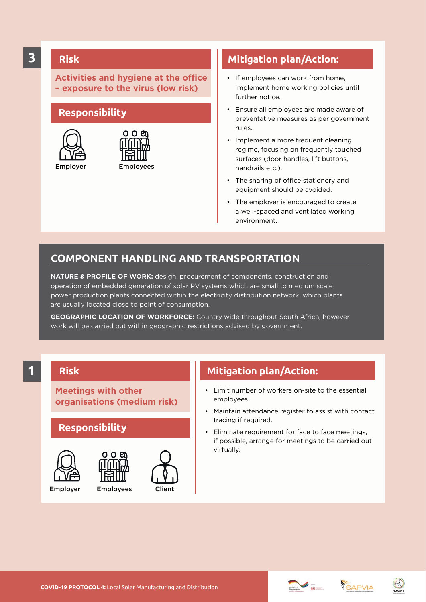#### **Risk**

**Activities and hygiene at the office – exposure to the virus (low risk)**

#### **Responsibility**





#### **Mitigation plan/Action:**

- If employees can work from home, implement home working policies until further notice.
- Ensure all employees are made aware of preventative measures as per government rules.
- Implement a more frequent cleaning regime, focusing on frequently touched surfaces (door handles, lift buttons, handrails etc.).
- The sharing of office stationery and equipment should be avoided.
- The employer is encouraged to create a well-spaced and ventilated working environment.

#### **COMPONENT HANDLING AND TRANSPORTATION**

**NATURE & PROFILE OF WORK:** design, procurement of components, construction and operation of embedded generation of solar PV systems which are small to medium scale power production plants connected within the electricity distribution network, which plants are usually located close to point of consumption.

**GEOGRAPHIC LOCATION OF WORKFORCE:** Country wide throughout South Africa, however work will be carried out within geographic restrictions advised by government.

#### **1**

#### **Risk**

**Meetings with other organisations (medium risk)**

#### **Responsibility**







- Limit number of workers on-site to the essential employees.
- Maintain attendance register to assist with contact tracing if required.
- Eliminate requirement for face to face meetings, if possible, arrange for meetings to be carried out virtually.





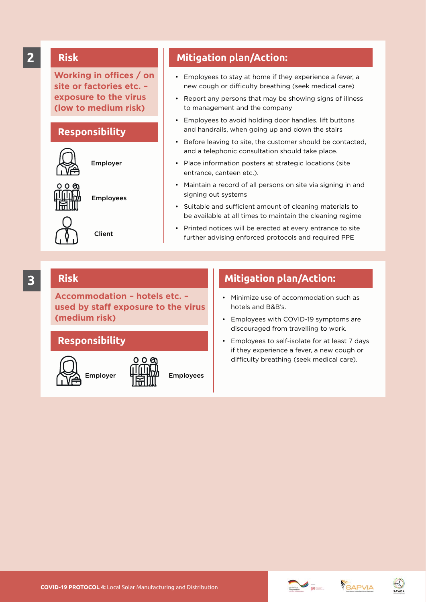**Working in offices / on site or factories etc. – exposure to the virus (low to medium risk)**

#### **Responsibility**



**Risk**

Employer

Employees

Client

#### **2 Mitigation plan/Action:**

- Employees to stay at home if they experience a fever, a new cough or difficulty breathing (seek medical care)
- Report any persons that may be showing signs of illness to management and the company
- Employees to avoid holding door handles, lift buttons and handrails, when going up and down the stairs
- Before leaving to site, the customer should be contacted, and a telephonic consultation should take place.
- Place information posters at strategic locations (site entrance, canteen etc.).
- Maintain a record of all persons on site via signing in and signing out systems
- Suitable and sufficient amount of cleaning materials to be available at all times to maintain the cleaning regime
- Printed notices will be erected at every entrance to site further advising enforced protocols and required PPE

#### **Risk**

**Accommodation – hotels etc. – used by staff exposure to the virus (medium risk)**

#### **Responsibility**



Employer H-H-HIM Employees



#### **3 Risk Mitigation plan/Action:**

- Minimize use of accommodation such as hotels and B&B's.
- Employees with COVID-19 symptoms are discouraged from travelling to work.
- Employees to self-isolate for at least 7 days if they experience a fever, a new cough or difficulty breathing (seek medical care).

**COVID-19 PROTOCOL 4:** Local Solar Manufacturing and Distribution